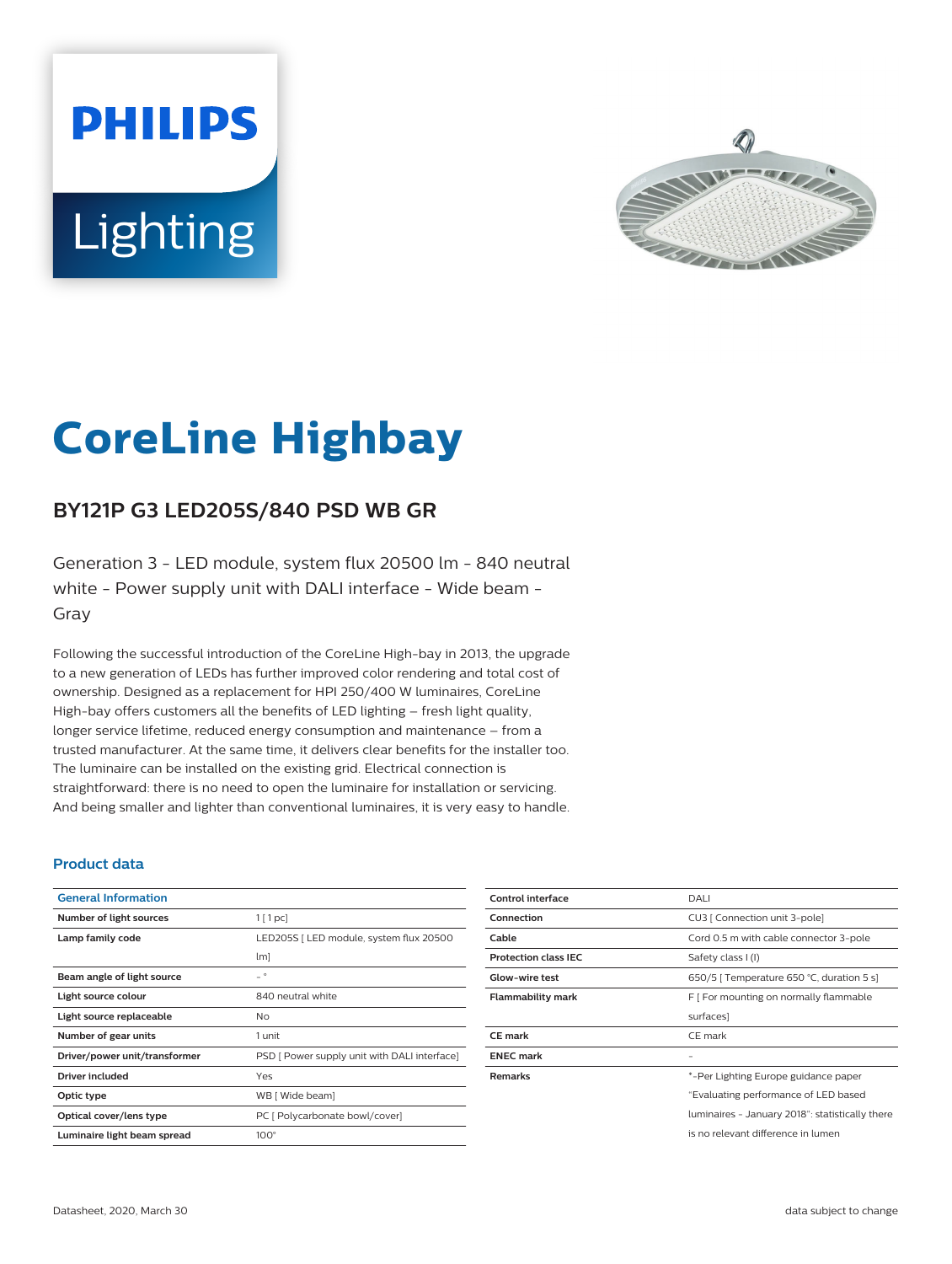# **PHILIPS** Lighting



# **CoreLine Highbay**

# **BY121P G3 LED205S/840 PSD WB GR**

Generation 3 - LED module, system flux 20500 lm - 840 neutral white - Power supply unit with DALI interface - Wide beam - Gray

Following the successful introduction of the CoreLine High-bay in 2013, the upgrade to a new generation of LEDs has further improved color rendering and total cost of ownership. Designed as a replacement for HPI 250/400 W luminaires, CoreLine High-bay offers customers all the benefits of LED lighting – fresh light quality, longer service lifetime, reduced energy consumption and maintenance – from a trusted manufacturer. At the same time, it delivers clear benefits for the installer too. The luminaire can be installed on the existing grid. Electrical connection is straightforward: there is no need to open the luminaire for installation or servicing. And being smaller and lighter than conventional luminaires, it is very easy to handle.

#### **Product data**

| <b>General Information</b>    |                                              |
|-------------------------------|----------------------------------------------|
| Number of light sources       | 1[1pc]                                       |
| Lamp family code              | LED205S   LED module, system flux 20500      |
|                               | $\lfloor m \rfloor$                          |
| Beam angle of light source    | $\circ$                                      |
| Light source colour           | 840 neutral white                            |
| Light source replaceable      | Nο                                           |
| Number of gear units          | 1 unit                                       |
| Driver/power unit/transformer | PSD [ Power supply unit with DALI interface] |
| <b>Driver included</b>        | Yes                                          |
| Optic type                    | WB [ Wide beam]                              |
| Optical cover/lens type       | PC [ Polycarbonate bowl/cover]               |
| Luminaire light beam spread   | $100^\circ$                                  |

| Control interface           | DALI                                            |
|-----------------------------|-------------------------------------------------|
| Connection                  | CU3   Connection unit 3-pole]                   |
| Cable                       | Cord 0.5 m with cable connector 3-pole          |
| <b>Protection class IEC</b> | Safety class I (I)                              |
| <b>Glow-wire test</b>       | 650/5   Temperature 650 °C, duration 5 s]       |
| Flammability mark           | F [ For mounting on normally flammable          |
|                             | surfaces]                                       |
| <b>CE</b> mark              | CE mark                                         |
| <b>ENEC mark</b>            |                                                 |
| <b>Remarks</b>              | *-Per Lighting Europe guidance paper            |
|                             | "Evaluating performance of LED based            |
|                             | luminaires - January 2018": statistically there |
|                             | is no relevant difference in lumen              |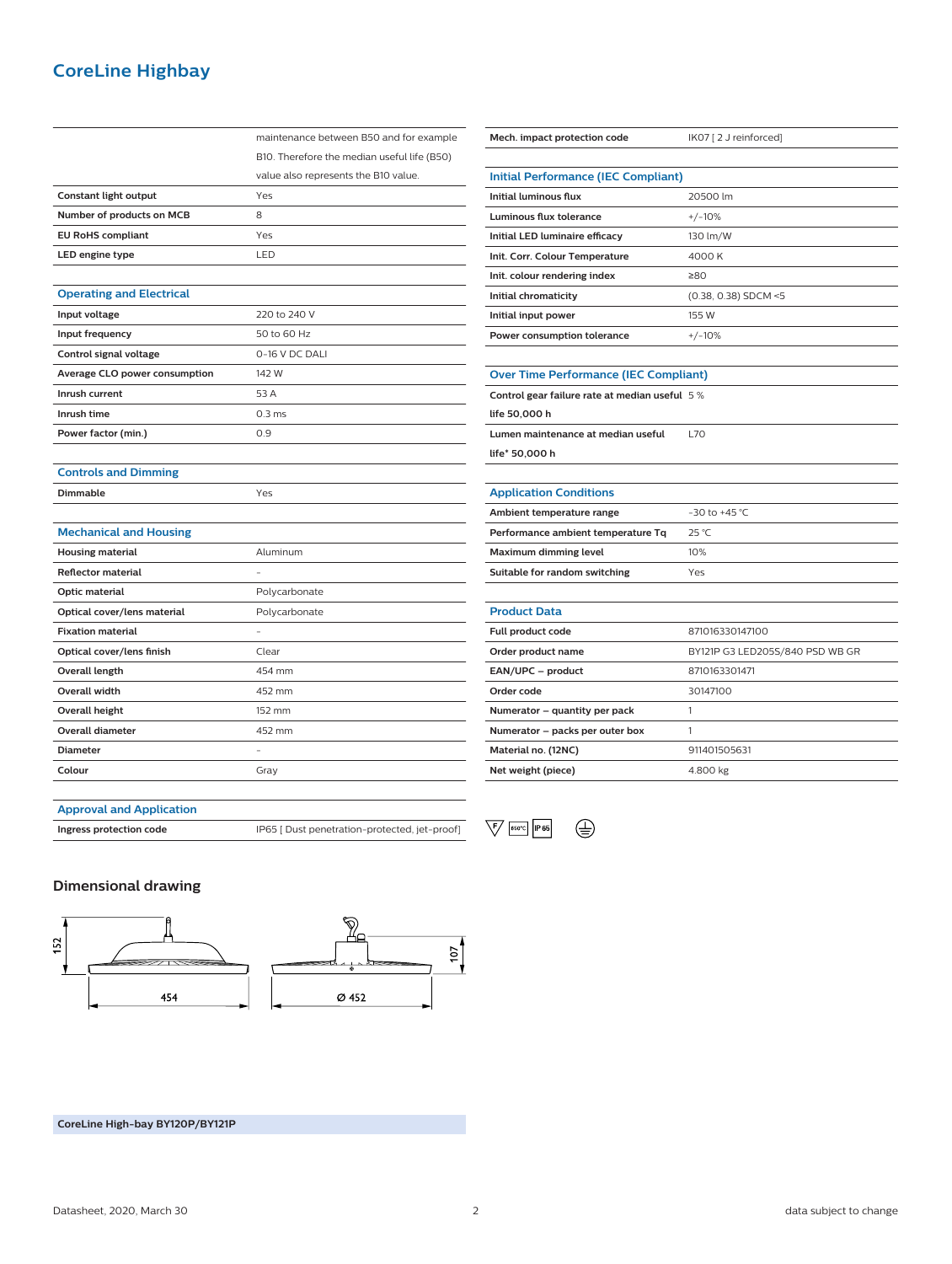## **CoreLine Highbay**

|                                 | maintenance between B50 and for example     |
|---------------------------------|---------------------------------------------|
|                                 | B10. Therefore the median useful life (B50) |
|                                 | value also represents the B10 value.        |
| <b>Constant light output</b>    | Yes                                         |
| Number of products on MCB       | 8                                           |
| <b>EU RoHS compliant</b>        | Yes                                         |
| LED engine type                 | LED                                         |
|                                 |                                             |
| <b>Operating and Electrical</b> |                                             |
| Input voltage                   | 220 to 240 V                                |
| Input frequency                 | 50 to 60 Hz                                 |
| Control signal voltage          | 0-16 V DC DALI                              |
| Average CLO power consumption   | 142 W                                       |
| Inrush current                  | 53 A                                        |
| Inrush time                     | 0.3 <sub>ms</sub>                           |
| Power factor (min.)             | 0.9                                         |
|                                 |                                             |
| <b>Controls and Dimming</b>     |                                             |
| Dimmable                        | Yes                                         |
|                                 |                                             |
| <b>Mechanical and Housing</b>   |                                             |
| <b>Housing material</b>         | Aluminum                                    |
| <b>Reflector material</b>       |                                             |
| Optic material                  | Polycarbonate                               |
| Optical cover/lens material     | Polycarbonate                               |
| <b>Fixation material</b>        |                                             |
| Optical cover/lens finish       | Clear                                       |
| <b>Overall length</b>           | 454 mm                                      |
| <b>Overall width</b>            | 452 mm                                      |
| <b>Overall height</b>           | 152 mm                                      |
| <b>Overall diameter</b>         | 452 mm                                      |
| <b>Diameter</b>                 |                                             |
| Colour                          | Gray                                        |
|                                 |                                             |

| Mech. impact protection code                  | IK07 [2 J reinforced]           |  |
|-----------------------------------------------|---------------------------------|--|
|                                               |                                 |  |
| <b>Initial Performance (IEC Compliant)</b>    |                                 |  |
| Initial luminous flux                         | 20500 lm                        |  |
| <b>Luminous flux tolerance</b>                | $+/-10%$                        |  |
| Initial LED luminaire efficacy                | 130 lm/W                        |  |
| Init. Corr. Colour Temperature                | 4000 K                          |  |
| Init. colour rendering index                  | ≥80                             |  |
| Initial chromaticity                          | $(0.38, 0.38)$ SDCM <5          |  |
| Initial input power                           | 155 W                           |  |
| Power consumption tolerance                   | $+/-10%$                        |  |
|                                               |                                 |  |
| <b>Over Time Performance (IEC Compliant)</b>  |                                 |  |
| Control gear failure rate at median useful 5% |                                 |  |
| life 50,000 h                                 |                                 |  |
| Lumen maintenance at median useful            | L70                             |  |
| life* 50,000 h                                |                                 |  |
|                                               |                                 |  |
| <b>Application Conditions</b>                 |                                 |  |
| Ambient temperature range                     | $-30$ to $+45$ °C               |  |
| Performance ambient temperature Tq            | 25 °C                           |  |
| Maximum dimming level                         | 10%                             |  |
| Suitable for random switching                 | Yes                             |  |
|                                               |                                 |  |
| <b>Product Data</b>                           |                                 |  |
| Full product code                             | 871016330147100                 |  |
| Order product name                            | BY121P G3 LED205S/840 PSD WB GR |  |
| EAN/UPC - product                             | 8710163301471                   |  |
| Order code                                    | 30147100                        |  |
| Numerator - quantity per pack                 | 1                               |  |
| Numerator - packs per outer box               | 1                               |  |
| Material no. (12NC)                           | 911401505631                    |  |
|                                               |                                 |  |
| Net weight (piece)                            | 4.800 kg                        |  |

#### **Approval and Application**



#### **Dimensional drawing**



**CoreLine High-bay BY120P/BY121P**